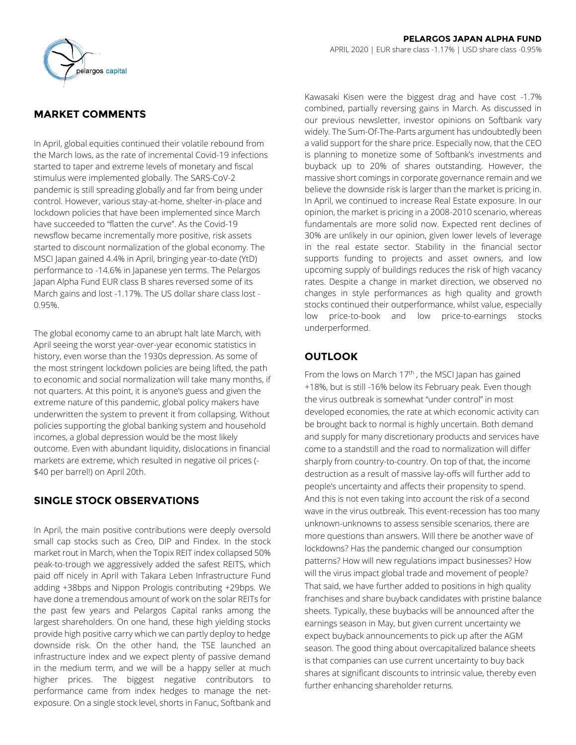

## **MARKET COMMENTS**

In April, global equities continued their volatile rebound from the March lows, as the rate of incremental Covid-19 infections started to taper and extreme levels of monetary and fiscal stimulus were implemented globally. The SARS-CoV-2 pandemic is still spreading globally and far from being under control. However, various stay-at-home, shelter-in-place and lockdown policies that have been implemented since March have succeeded to "flatten the curve". As the Covid-19 newsflow became incrementally more positive, risk assets started to discount normalization of the global economy. The MSCI Japan gained 4.4% in April, bringing year-to-date (YtD) performance to -14.6% in Japanese yen terms. The Pelargos Japan Alpha Fund EUR class B shares reversed some of its March gains and lost -1.17%. The US dollar share class lost - 0.95%.

The global economy came to an abrupt halt late March, with April seeing the worst year-over-year economic statistics in history, even worse than the 1930s depression. As some of the most stringent lockdown policies are being lifted, the path to economic and social normalization will take many months, if not quarters. At this point, it is anyone's guess and given the extreme nature of this pandemic, global policy makers have underwritten the system to prevent it from collapsing. Without policies supporting the global banking system and household incomes, a global depression would be the most likely outcome. Even with abundant liquidity, dislocations in financial markets are extreme, which resulted in negative oil prices (- \$40 per barrel!) on April 20th.

## **SINGLE STOCK OBSERVATIONS**

In April, the main positive contributions were deeply oversold small cap stocks such as Creo, DIP and Findex. In the stock market rout in March, when the Topix REIT index collapsed 50% peak-to-trough we aggressively added the safest REITS, which paid off nicely in April with Takara Leben Infrastructure Fund adding +38bps and Nippon Prologis contributing +29bps. We have done a tremendous amount of work on the solar REITs for the past few years and Pelargos Capital ranks among the largest shareholders. On one hand, these high yielding stocks provide high positive carry which we can partly deploy to hedge downside risk. On the other hand, the TSE launched an infrastructure index and we expect plenty of passive demand in the medium term, and we will be a happy seller at much higher prices. The biggest negative contributors to performance came from index hedges to manage the netexposure. On a single stock level, shorts in Fanuc, Softbank and Kawasaki Kisen were the biggest drag and have cost -1.7% combined, partially reversing gains in March. As discussed in our previous newsletter, investor opinions on Softbank vary widely. The Sum-Of-The-Parts argument has undoubtedly been a valid support for the share price. Especially now, that the CEO is planning to monetize some of Softbank's investments and buyback up to 20% of shares outstanding. However, the massive short comings in corporate governance remain and we believe the downside risk is larger than the market is pricing in. In April, we continued to increase Real Estate exposure. In our opinion, the market is pricing in a 2008-2010 scenario, whereas fundamentals are more solid now. Expected rent declines of 30% are unlikely in our opinion, given lower levels of leverage in the real estate sector. Stability in the financial sector supports funding to projects and asset owners, and low upcoming supply of buildings reduces the risk of high vacancy rates. Despite a change in market direction, we observed no changes in style performances as high quality and growth stocks continued their outperformance, whilst value, especially low price-to-book and low price-to-earnings stocks underperformed.

## **OUTLOOK**

From the lows on March  $17<sup>th</sup>$ , the MSCI Japan has gained +18%, but is still -16% below its February peak. Even though the virus outbreak is somewhat "under control" in most developed economies, the rate at which economic activity can be brought back to normal is highly uncertain. Both demand and supply for many discretionary products and services have come to a standstill and the road to normalization will differ sharply from country-to-country. On top of that, the income destruction as a result of massive lay-offs will further add to people's uncertainty and affects their propensity to spend. And this is not even taking into account the risk of a second wave in the virus outbreak. This event-recession has too many unknown-unknowns to assess sensible scenarios, there are more questions than answers. Will there be another wave of lockdowns? Has the pandemic changed our consumption patterns? How will new regulations impact businesses? How will the virus impact global trade and movement of people? That said, we have further added to positions in high quality franchises and share buyback candidates with pristine balance sheets. Typically, these buybacks will be announced after the earnings season in May, but given current uncertainty we expect buyback announcements to pick up after the AGM season. The good thing about overcapitalized balance sheets is that companies can use current uncertainty to buy back shares at significant discounts to intrinsic value, thereby even further enhancing shareholder returns.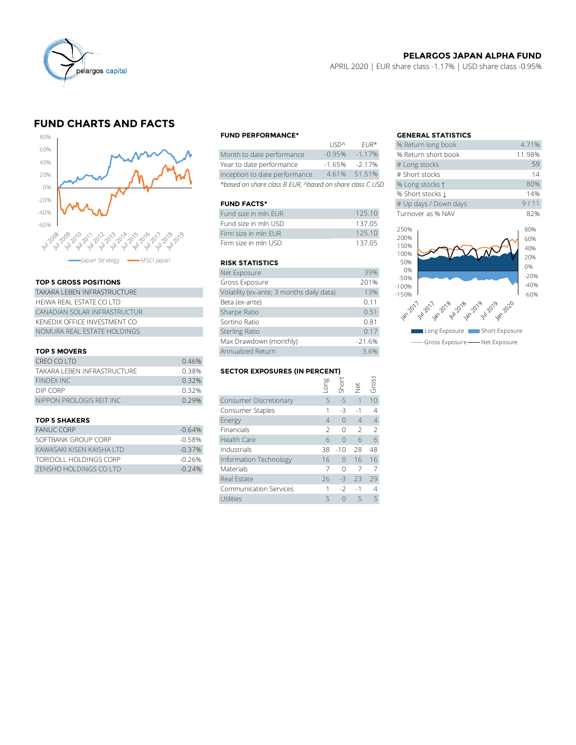

### **PELARGOS JAPAN ALPHA FUND**

APRIL 2020 | EUR share class -1.17% | USD share class -0.95%

## **FUND CHARTS AND FACTS**



### **TOP 5 GROSS POSITIONS**

| TAKARA LEBEN INFRASTRUCTURE  | Volatility (ex-ante; 3 months daily data) |
|------------------------------|-------------------------------------------|
| HEIWA REAL ESTATE CO LTD     | Beta (ex-ante)                            |
| CANADIAN SOLAR INFRASTRUCTUR | Sharpe Ratio                              |
| KENEDIX OFFICE INVESTMENT CO | Sortino Ratio                             |
| NOMURA REAL ESTATE HOLDINGS  | <b>Sterling Ratio</b>                     |

### **TOP 5 MOVERS**

|                             |       | Max Drawdown (monthly)               |      |      | $-21.6%$      |                 |
|-----------------------------|-------|--------------------------------------|------|------|---------------|-----------------|
| <b>TOP 5 MOVERS</b>         |       | Annualized Return                    |      | 3.6% |               |                 |
| CREO CO LTD                 | 0.46% |                                      |      |      |               |                 |
| TAKARA LEBEN INFRASTRUCTURE | 0.38% | <b>SECTOR EXPOSURES (IN PERCENT)</b> |      |      |               |                 |
| <b>FINDEX INC</b>           | 0.32% |                                      | suo- |      |               | Gross           |
| DIP CORP                    | 0.32% |                                      |      | Shor | $\frac{1}{2}$ |                 |
| NIPPON PROLOGIS REIT INC    | 0.29% | <b>Consumer Discretionary</b>        | 5.   | $-5$ |               | 10 <sup>1</sup> |
|                             |       | Consumer Staples                     |      | -3   | $-1$          |                 |
|                             |       |                                      |      |      |               |                 |

### **TOP 5 SHAKERS**

| <b>FANUC CORP</b>          | $-0.64\%$ | <b>Financials</b>      |                       | $\overline{2}$ |
|----------------------------|-----------|------------------------|-----------------------|----------------|
| SOFTBANK GROUP CORP        | $-0.58\%$ | Health Care            |                       | 66             |
| KAWASAKI KISEN KAISHA I TD | $-0.37%$  | Industrials            | 38 -10 28 48          |                |
| TORIDOLL HOLDINGS CORP     | -0.26%    | Information Technology | $16 \t 0 \t 16 \t 16$ |                |
| ZENSHO HOLDINGS CO LTD     | $-0.24%$  | <b>Materials</b>       |                       |                |

|                                                          | 11511''         | $FIR^{\prime\prime}$ | % Return long dook  |
|----------------------------------------------------------|-----------------|----------------------|---------------------|
| Month to date performance                                | $-0.95%$        | $-1.17%$             | % Return short book |
| Year to date performance                                 | $-1.65%$        | $-2.17%$             | # Long stocks       |
| Inception to date performance                            | 4.61%           | 51.51%               | # Short stocks      |
| *based on share class B EUR, ^based on share class C USD | % Long stocks 1 |                      |                     |

### **FUND FACTS\***

| Fund size in mln FUR | 125.10 | Turnover as % NAV |
|----------------------|--------|-------------------|
| Fund size in mln USD | 137.05 |                   |
| Firm size in mln FUR | 12510  | 250%<br>200%      |
| Firm size in mln USD | 13705  | 150%              |

### **RISK STATISTICS**

| Net Exposure                              | 39%      |
|-------------------------------------------|----------|
| Gross Exposure                            | 201%     |
| Volatility (ex-ante; 3 months daily data) | 13%      |
| Beta (ex-ante)                            | 0.11     |
| Sharpe Ratio                              | 0.51     |
| Sortino Ratio                             | 0.81     |
| <b>Sterling Ratio</b>                     | 0.17     |
| Max Drawdown (monthly)                    | $-21.6%$ |
| Annualized Return                         | 3.6%     |

### **SECTOR EXPOSURES (IN PERCENT)**

| 0.32%    |                               |                |           |                | Gross           |
|----------|-------------------------------|----------------|-----------|----------------|-----------------|
| 0.32%    |                               |                |           |                |                 |
| 0.29%    | Consumer Discretionary        | 5              | $-5$      |                | 10              |
|          | Consumer Staples              |                | $-3$      | $-1$           | $\overline{4}$  |
|          | Energy                        | $\overline{4}$ | $\Omega$  | $\overline{4}$ | $\overline{4}$  |
| $-0.64%$ | Financials                    |                | $\Omega$  | $\mathcal{P}$  | $\overline{2}$  |
| $-0.58%$ | Health Care                   | 6              | $\Omega$  | 6              | 6               |
| $-0.37%$ | Industrials                   | 38             | $-10$     | 28             | 48              |
| $-0.26%$ | Information Technology        | 16             | $\bigcap$ | 16             | 16              |
| $-0.24%$ | Materials                     |                | $\Omega$  |                |                 |
|          | Real Estate                   | 26             | $-3$      | 23             | 29              |
|          | <b>Communication Services</b> |                | $-2$      | $-1$           | 4               |
|          | Utilities                     |                | $\Omega$  | 5              | $5\overline{)}$ |
|          |                               |                | Long      | Short          | Net             |

# **FUND PERFORMANCE\* GENERAL STATISTICS**

|          |                      | <b>GENERAL STATISTICS</b>        |            |
|----------|----------------------|----------------------------------|------------|
| USD^     | $EUR*$               | % Return long book               | 4.71%      |
| $-0.95%$ | $-1.17%$             | % Return short book              | 11.98%     |
| $-1.65%$ | $-2.17%$             | # Long stocks                    | 59         |
| 4.61%    | 51.51%               | # Short stocks                   | 14         |
|          | on share class C USD | % Long stocks 1                  | 80%        |
|          |                      | % Short stocks L                 | 14%        |
|          |                      | # Up days / Down days            | 9/11       |
|          | 125.10               | Turnover as % NAV                | 82%        |
|          | 137.05               |                                  |            |
|          | 125.10               | 250%<br>200%                     | 80%        |
|          | 137.05               | 150%                             | 60%        |
|          |                      | 100%                             | 40%<br>20% |
|          |                      | 50%                              | 0%         |
|          | 39%                  | 0%                               | $-20%$     |
|          | 201%                 | $-50%$<br>$-100%$                | $-40%$     |
| ata)     | 13%                  | $-150%$                          | $-60%$     |
|          | 0.11                 |                                  |            |
|          | 0.51                 | 4m211 211 212 212 212 212 212 22 |            |
|          | 0.01                 |                                  |            |

Long Exposure **Short Exposure** Gross Exposure - Net Exposure